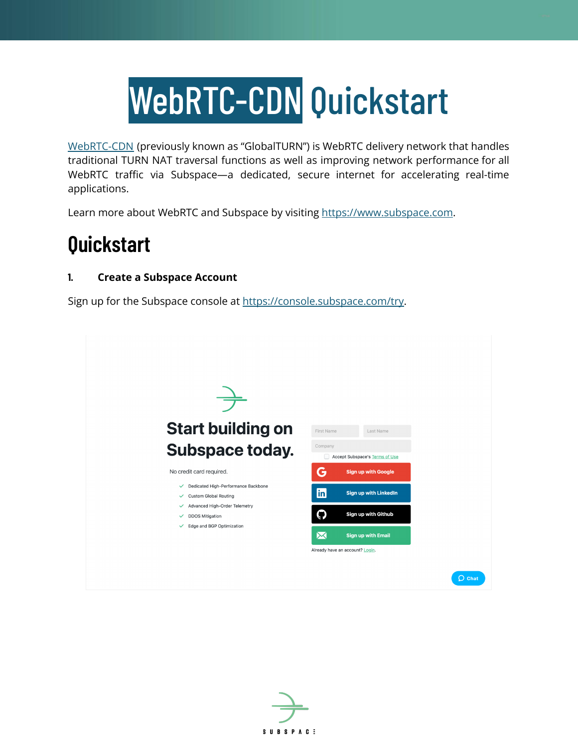# WebRTC-CDN Quickstart

[WebRTC-CDN](https://subspace.com/product/globalturn) (previously known as "GlobalTURN") is WebRTC delivery network that handles traditional TURN NAT traversal functions as well as improving network performance for all WebRTC traffic via Subspace—a dedicated, secure internet for accelerating real-time applications.

Learn more about WebRTC and Subspace by visiting <https://www.subspace.com>.

# **Quickstart**

# **1. Create a Subspace Account**

Sign up for the Subspace console at [https://console.subspace.com/try.](https://console.subspace.com/try)



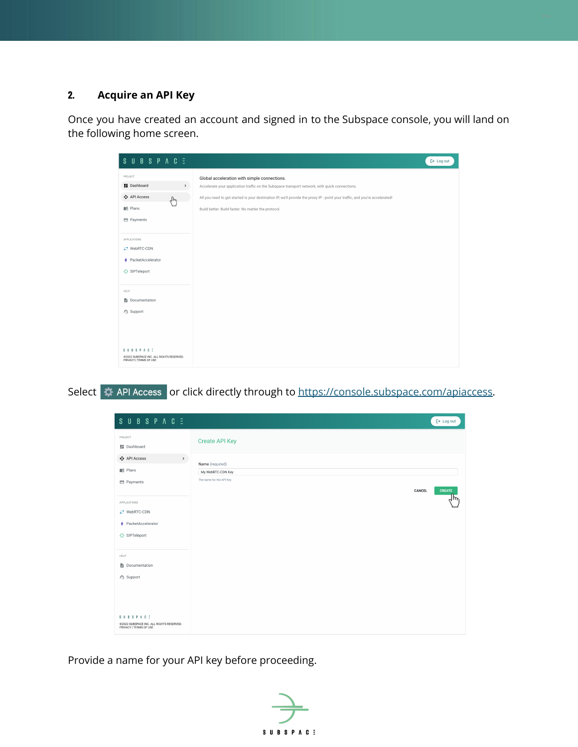# **2. Acquire an API Key**

Once you have created an account and signed in to the Subspace console, you will land on the following home screen.

| <b>SUBSPACE</b>                                                                       | $\mapsto$ Log out                                                                                                            |
|---------------------------------------------------------------------------------------|------------------------------------------------------------------------------------------------------------------------------|
| PROJECT                                                                               | Global acceleration with simple connections.                                                                                 |
| <b>H</b> Dashboard<br>$\,$                                                            | Accelerate your application traffic on the Subspace transport network, with quick connections.                               |
| ↔ API Access<br>لهها                                                                  | All you need to get started is your destination IP, we'll provide the proxy IP - point your traffic, and you're accelerated! |
| <b>ILI</b> Plans                                                                      | Build better. Build faster. No matter the protocol.                                                                          |
| <b>E</b> Payments                                                                     |                                                                                                                              |
|                                                                                       |                                                                                                                              |
| APPLICATIONS                                                                          |                                                                                                                              |
| ## WebRTC-CDN                                                                         |                                                                                                                              |
| + PacketAccelerator                                                                   |                                                                                                                              |
| ※ SIPTeleport                                                                         |                                                                                                                              |
|                                                                                       |                                                                                                                              |
| <b>HELP</b>                                                                           |                                                                                                                              |
| Documentation                                                                         |                                                                                                                              |
| © Support                                                                             |                                                                                                                              |
|                                                                                       |                                                                                                                              |
|                                                                                       |                                                                                                                              |
|                                                                                       |                                                                                                                              |
| <b>SUBSPACE</b><br>@2022 SUBSPACE INC. ALL RIGHTS RESERVED.<br>PRIVACY I TERMS OF USE |                                                                                                                              |

Select « API Access or click directly through to [https://console.subspace.com/apiaccess.](https://console.subspace.com/apiaccess)

| SUBSPACE                                                                              |                                    | $\mapsto$ Log out |
|---------------------------------------------------------------------------------------|------------------------------------|-------------------|
| PROJECT<br><b>No</b> Dashboard                                                        | <b>Create API Key</b>              |                   |
| ↔ API Access<br>$\rightarrow$                                                         | Name (required)                    |                   |
| <b>ILI</b> Plans                                                                      | My WebRTC-CDN Key                  |                   |
| Payments                                                                              | The name for the API Key<br>CANCEL | CREATE            |
| APPLICATIONS                                                                          |                                    | μm                |
| ## WebRTC-CDN                                                                         |                                    |                   |
| + PacketAccelerator                                                                   |                                    |                   |
| ※ SIPTeleport                                                                         |                                    |                   |
| <b>HELP</b>                                                                           |                                    |                   |
| Documentation                                                                         |                                    |                   |
| A Support                                                                             |                                    |                   |
|                                                                                       |                                    |                   |
|                                                                                       |                                    |                   |
|                                                                                       |                                    |                   |
| <b>SUBSPACE</b><br>©2022 SUBSPACE INC. ALL RIGHTS RESERVED.<br>PRIVACY   TERMS OF USE |                                    |                   |

Provide a name for your API key before proceeding.

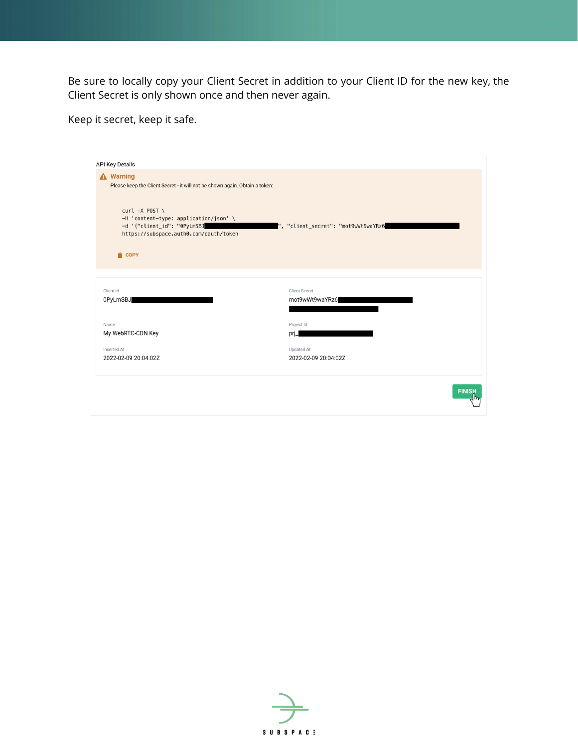Be sure to locally copy your Client Secret in addition to your Client ID for the new key, the Client Secret is only shown once and then never again.

Keep it secret, keep it safe.

| <b>API Key Details</b>                                                                                                                                                                                                                                     |                                     |  |  |
|------------------------------------------------------------------------------------------------------------------------------------------------------------------------------------------------------------------------------------------------------------|-------------------------------------|--|--|
| <b>A</b> Warning<br>Please keep the Client Secret - it will not be shown again. Obtain a token:<br>$curl -X$ POST \<br>-H 'content-type: application/json' \<br>-d '{"client_id": "0PyLmSBJ<br>https://subspace.auth0.com/oauth/token<br><sup>1</sup> COPY | ", "client_secret": "mot9wWt9waYRz6 |  |  |
| Client Id                                                                                                                                                                                                                                                  | <b>Client Secret</b>                |  |  |
| 0PyLmSBJ                                                                                                                                                                                                                                                   | mot9wWt9waYRz6                      |  |  |
| Name                                                                                                                                                                                                                                                       | Project Id                          |  |  |
| My WebRTC-CDN Key                                                                                                                                                                                                                                          | prj_                                |  |  |
| Inserted At                                                                                                                                                                                                                                                | <b>Updated At</b>                   |  |  |
| 2022-02-09 20:04:02Z                                                                                                                                                                                                                                       | 2022-02-09 20:04:02Z                |  |  |
|                                                                                                                                                                                                                                                            | <b>FINISH</b>                       |  |  |

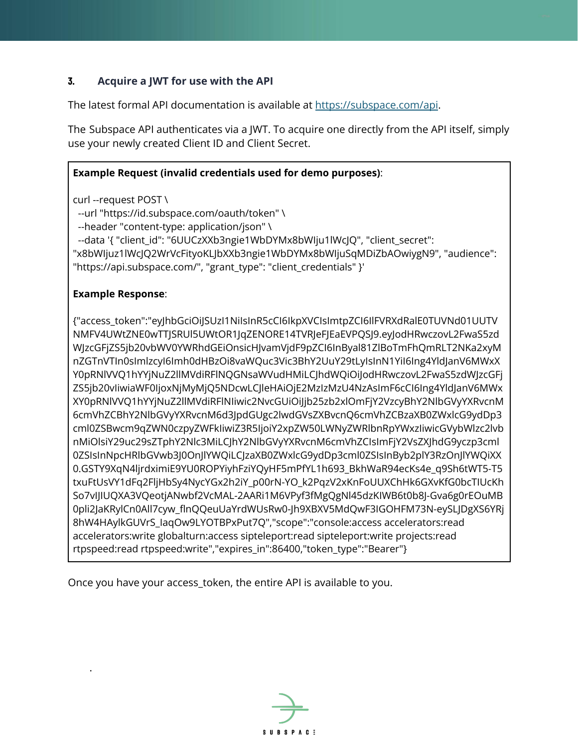# **3. Acquire a JWT for use with the API**

The latest formal API documentation is available at <https://subspace.com/api>.

The Subspace API authenticates via a JWT. To acquire one directly from the API itself, simply use your newly created Client ID and Client Secret.

#### **Example Request (invalid credentials used for demo purposes)**:

curl --request POST \

--url "https://id.subspace.com/oauth/token" \

--header "content-type: application/json" \

--data '{ "client\_id": "6UUCzXXb3ngie1WbDYMx8bWIju1lWcJQ", "client\_secret":

"x8bWIjuz1lWcJQ2WrVcFityoKLJbXXb3ngie1WbDYMx8bWIjuSqMDiZbAOwiygN9", "audience": "https://api.subspace.com/", "grant\_type": "client\_credentials" }'

#### **Example Response**:

.

{"access\_token":"eyJhbGciOiJSUzI1NiIsInR5cCI6IkpXVCIsImtpZCI6IlFVRXdRalE0TUVNd01UUTV NMFV4UWtZNE0wTTJSRUl5UWtOR1JqZENORE14TVRJeFJEaEVPQSJ9.eyJodHRwczovL2FwaS5zd WJzcGFjZS5jb20vbWV0YWRhdGEiOnsicHJvamVjdF9pZCI6InByal81ZlBoTmFhQmRLT2NKa2xyM nZGTnVTIn0sImlzcyI6Imh0dHBzOi8vaWQuc3Vic3BhY2UuY29tLyIsInN1YiI6Ing4YldJanV6MWxX Y0pRNlVVQ1hYYjNuZ2llMVdiRFlNQGNsaWVudHMiLCJhdWQiOiJodHRwczovL2FwaS5zdWJzcGFj ZS5jb20vIiwiaWF0IjoxNjMyMjQ5NDcwLCJleHAiOjE2MzIzMzU4NzAsImF6cCI6Ing4YldJanV6MWx XY0pRNlVVQ1hYYjNuZ2llMVdiRFlNIiwic2NvcGUiOiJjb25zb2xlOmFjY2VzcyBhY2NlbGVyYXRvcnM 6cmVhZCBhY2NlbGVyYXRvcnM6d3JpdGUgc2lwdGVsZXBvcnQ6cmVhZCBzaXB0ZWxlcG9ydDp3 cml0ZSBwcm9qZWN0czpyZWFkIiwiZ3R5IjoiY2xpZW50LWNyZWRlbnRpYWxzIiwicGVybWlzc2lvb nMiOlsiY29uc29sZTphY2Nlc3MiLCJhY2NlbGVyYXRvcnM6cmVhZCIsImFjY2VsZXJhdG9yczp3cml 0ZSIsInNpcHRlbGVwb3J0OnJlYWQiLCJzaXB0ZWxlcG9ydDp3cml0ZSIsInByb2plY3RzOnJlYWQiXX 0.GSTY9XqN4ljrdximiE9YU0ROPYiyhFziYQyHF5mPfYL1h693\_BkhWaR94ecKs4e\_q9Sh6tWT5-T5 txuFtUsVY1dFq2FljHbSy4NycYGx2h2iY\_p00rN-YO\_k2PqzV2xKnFoUUXChHk6GXvKfG0bcTIUcKh So7vIJIUQXA3VQeotjANwbf2VcMAL-2AARi1M6VPyf3fMgQgNl45dzKIWB6t0b8J-Gva6g0rEOuMB 0pli2JaKRylCn0All7cyw\_flnQQeuUaYrdWUsRw0-Jh9XBXV5MdQwF3IGOHFM73N-eySLJDgXS6YRj 8hW4HAylkGUVrS\_IaqOw9LYOTBPxPut7Q","scope":"console:access accelerators:read accelerators:write globalturn:access sipteleport:read sipteleport:write projects:read rtpspeed:read rtpspeed:write","expires\_in":86400,"token\_type":"Bearer"}

Once you have your access\_token, the entire API is available to you.

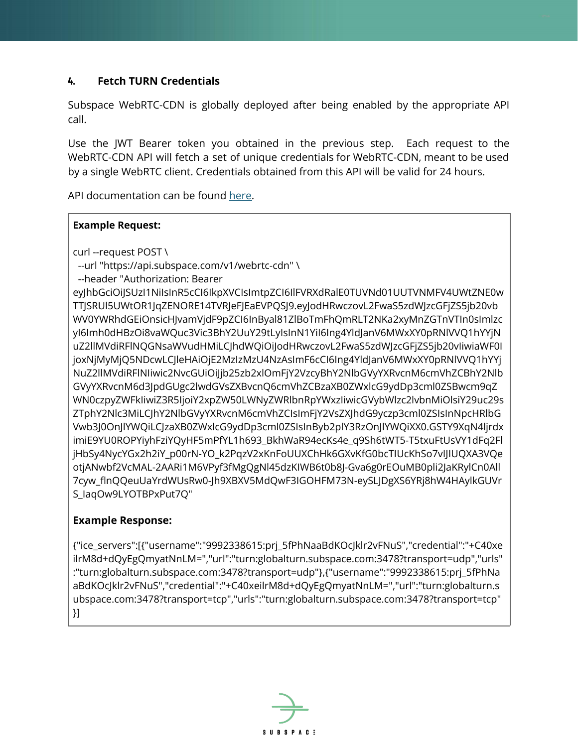## **4. Fetch TURN Credentials**

Subspace WebRTC-CDN is globally deployed after being enabled by the appropriate API call.

Use the JWT Bearer token you obtained in the previous step. Each request to the WebRTC-CDN API will fetch a set of unique credentials for WebRTC-CDN, meant to be used by a single WebRTC client. Credentials obtained from this API will be valid for 24 hours.

API documentation can be found [here.](https://subspace.com/api#/TurnService/TurnService_GetTurn)

#### **Example Request:**

curl --request POST \

--url "https://api.subspace.com/v1/webrtc-cdn" \

--header "Authorization: Bearer

eyJhbGciOiJSUzI1NiIsInR5cCI6IkpXVCIsImtpZCI6IlFVRXdRalE0TUVNd01UUTVNMFV4UWtZNE0w TTJSRUl5UWtOR1JqZENORE14TVRJeFJEaEVPQSJ9.eyJodHRwczovL2FwaS5zdWJzcGFjZS5jb20vb WV0YWRhdGEiOnsicHJvamVjdF9pZCI6InByal81ZlBoTmFhQmRLT2NKa2xyMnZGTnVTIn0sImlzc yI6Imh0dHBzOi8vaWQuc3Vic3BhY2UuY29tLyIsInN1YiI6Ing4YldJanV6MWxXY0pRNlVVQ1hYYjN uZ2llMVdiRFlNQGNsaWVudHMiLCJhdWQiOiJodHRwczovL2FwaS5zdWJzcGFjZS5jb20vIiwiaWF0I joxNjMyMjQ5NDcwLCJleHAiOjE2MzIzMzU4NzAsImF6cCI6Ing4YldJanV6MWxXY0pRNlVVQ1hYYj NuZ2llMVdiRFlNIiwic2NvcGUiOiJjb25zb2xlOmFjY2VzcyBhY2NlbGVyYXRvcnM6cmVhZCBhY2Nlb GVyYXRvcnM6d3JpdGUgc2lwdGVsZXBvcnQ6cmVhZCBzaXB0ZWxlcG9ydDp3cml0ZSBwcm9qZ WN0czpyZWFkIiwiZ3R5IjoiY2xpZW50LWNyZWRlbnRpYWxzIiwicGVybWlzc2lvbnMiOlsiY29uc29s ZTphY2Nlc3MiLCJhY2NlbGVyYXRvcnM6cmVhZCIsImFjY2VsZXJhdG9yczp3cml0ZSIsInNpcHRlbG Vwb3J0OnJlYWQiLCJzaXB0ZWxlcG9ydDp3cml0ZSIsInByb2plY3RzOnJlYWQiXX0.GSTY9XqN4ljrdx imiE9YU0ROPYiyhFziYQyHF5mPfYL1h693\_BkhWaR94ecKs4e\_q9Sh6tWT5-T5txuFtUsVY1dFq2Fl jHbSy4NycYGx2h2iY\_p00rN-YO\_k2PqzV2xKnFoUUXChHk6GXvKfG0bcTIUcKhSo7vIJIUQXA3VQe otjANwbf2VcMAL-2AARi1M6VPyf3fMgQgNl45dzKIWB6t0b8J-Gva6g0rEOuMB0pli2JaKRylCn0All 7cyw\_flnQQeuUaYrdWUsRw0-Jh9XBXV5MdQwF3IGOHFM73N-eySLJDgXS6YRj8hW4HAylkGUVr S\_IaqOw9LYOTBPxPut7Q"

## **Example Response:**

{"ice\_servers":[{"username":"9992338615:prj\_5fPhNaaBdKOcJklr2vFNuS","credential":"+C40xe ilrM8d+dQyEgQmyatNnLM=","url":"turn:globalturn.subspace.com:3478?transport=udp","urls" :"turn:globalturn.subspace.com:3478?transport=udp"},{"username":"9992338615:prj\_5fPhNa aBdKOcJklr2vFNuS","credential":"+C40xeilrM8d+dQyEgQmyatNnLM=","url":"turn:globalturn.s ubspace.com:3478?transport=tcp","urls":"turn:globalturn.subspace.com:3478?transport=tcp" }]